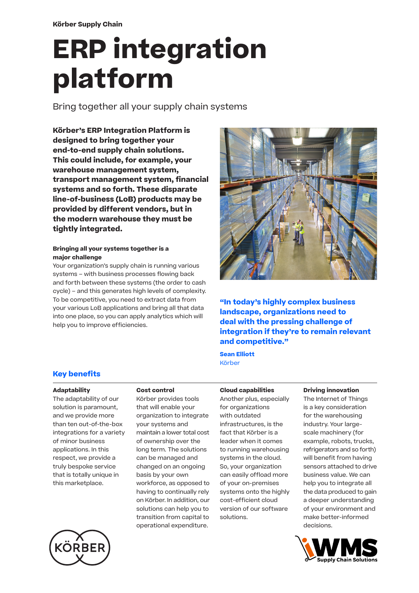# **ERP integration platform**

Bring together all your supply chain systems

**Körber's ERP Integration Platform is designed to bring together your end-to-end supply chain solutions. This could include, for example, your warehouse management system, transport management system, financial systems and so forth. These disparate line-of-business (LoB) products may be provided by different vendors, but in the modern warehouse they must be tightly integrated.** 

#### **Bringing all your systems together is a major challenge**

Your organization's supply chain is running various systems – with business processes flowing back and forth between these systems (the order to cash cycle) – and this generates high levels of complexity. To be competitive, you need to extract data from your various LoB applications and bring all that data into one place, so you can apply analytics which will help you to improve efficiencies.



**"In today's highly complex business landscape, organizations need to deal with the pressing challenge of integration if they're to remain relevant and competitive."**

**Sean Elliott** Körber

# **Key benefits**

#### **Adaptability**

The adaptability of our solution is paramount, and we provide more than ten out-of-the-box integrations for a variety of minor business applications. In this respect, we provide a truly bespoke service that is totally unique in this marketplace.



Körber provides tools that will enable your organization to integrate your systems and maintain a lower total cost of ownership over the long term. The solutions can be managed and changed on an ongoing basis by your own workforce, as opposed to having to continually rely on Körber. In addition, our solutions can help you to transition from capital to operational expenditure.

**Cloud capabilities** Another plus, especially for organizations with outdated infrastructures, is the fact that Körber is a leader when it comes to running warehousing systems in the cloud. So, your organization can easily offload more of your on-premises systems onto the highly cost-efficient cloud version of our software solutions.

#### **Driving innovation**

The Internet of Things is a key consideration for the warehousing industry. Your largescale machinery (for example, robots, trucks, refrigerators and so forth) will benefit from having sensors attached to drive business value. We can help you to integrate all the data produced to gain a deeper understanding of your environment and make better-informed decisions.